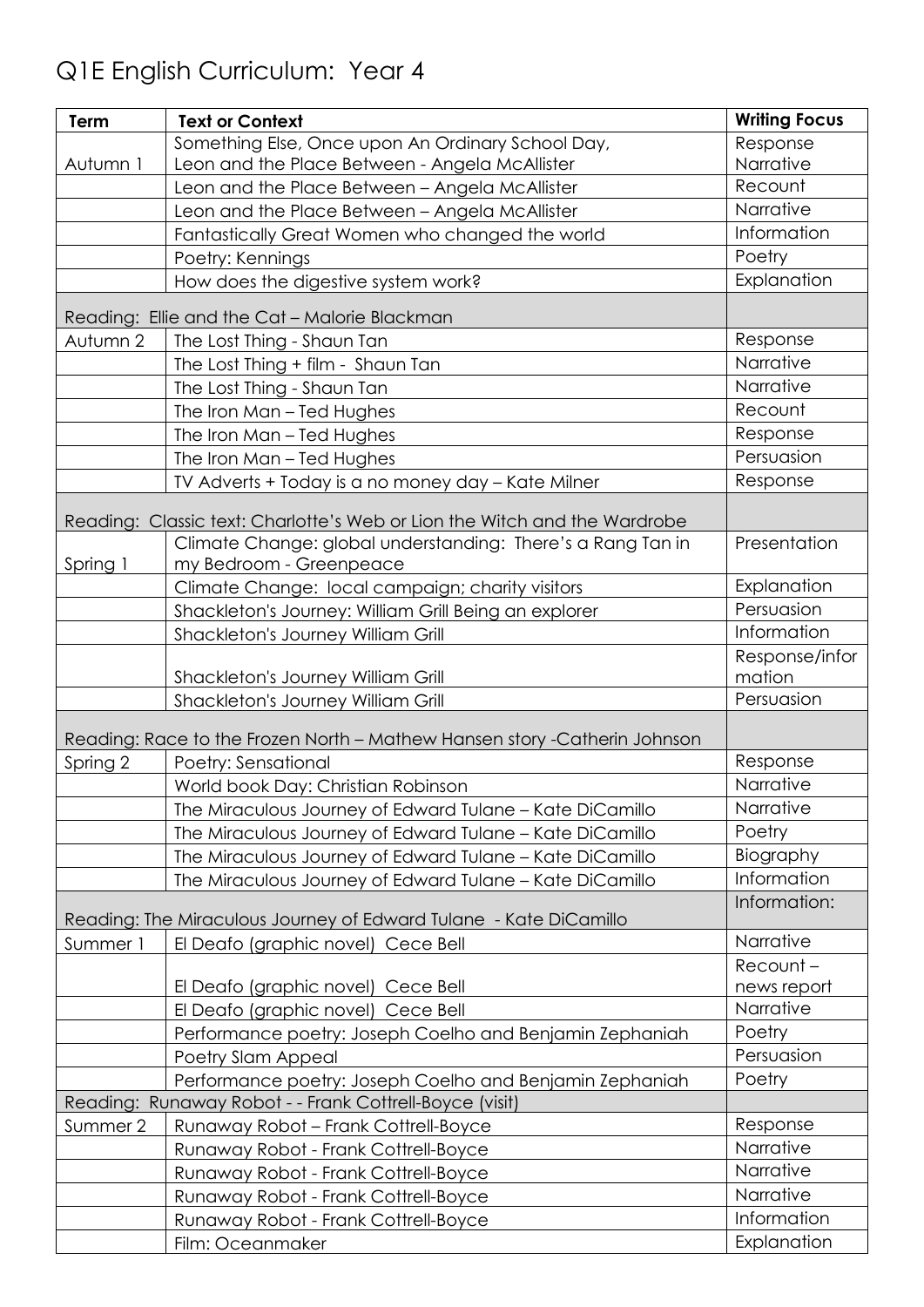## Q1E English Curriculum: Year 4

| Response<br>Narrative<br>Leon and the Place Between - Angela McAllister<br>Autumn 1<br>Recount<br>Leon and the Place Between - Angela McAllister<br>Narrative<br>Leon and the Place Between - Angela McAllister<br>Information<br>Fantastically Great Women who changed the world<br>Poetry<br>Poetry: Kennings<br>Explanation<br>How does the digestive system work?<br>Reading: Ellie and the Cat - Malorie Blackman<br>Response<br>Autumn 2<br>The Lost Thing - Shaun Tan<br>Narrative<br>The Lost Thing + film - Shaun Tan<br>Narrative<br>The Lost Thing - Shaun Tan<br>Recount<br>The Iron Man - Ted Hughes<br>Response<br>The Iron Man - Ted Hughes<br>Persuasion<br>The Iron Man - Ted Hughes<br>Response<br>TV Adverts + Today is a no money day - Kate Milner<br>Reading: Classic text: Charlotte's Web or Lion the Witch and the Wardrobe<br>Climate Change: global understanding: There's a Rang Tan in<br>Presentation<br>Spring 1<br>my Bedroom - Greenpeace<br>Explanation<br>Climate Change: local campaign; charity visitors<br>Persuasion<br>Shackleton's Journey: William Grill Being an explorer<br>Information<br>Shackleton's Journey William Grill<br>Response/infor<br>mation<br>Shackleton's Journey William Grill<br>Persuasion<br>Shackleton's Journey William Grill<br>Reading: Race to the Frozen North - Mathew Hansen story - Catherin Johnson<br>Response<br>Spring 2<br>Poetry: Sensational<br>Narrative<br>World book Day: Christian Robinson<br>Narrative<br>The Miraculous Journey of Edward Tulane - Kate DiCamillo<br>Poetry<br>The Miraculous Journey of Edward Tulane - Kate DiCamillo<br>Biography<br>The Miraculous Journey of Edward Tulane - Kate DiCamillo<br>Information<br>The Miraculous Journey of Edward Tulane - Kate DiCamillo<br>Information:<br>Reading: The Miraculous Journey of Edward Tulane - Kate DiCamillo<br>Narrative<br>Summer 1<br>El Deafo (graphic novel) Cece Bell<br>Recount-<br>El Deafo (graphic novel) Cece Bell<br>news report<br>Narrative<br>El Deafo (graphic novel) Cece Bell<br>Poetry<br>Performance poetry: Joseph Coelho and Benjamin Zephaniah<br>Persuasion<br>Poetry Slam Appeal<br>Poetry<br>Performance poetry: Joseph Coelho and Benjamin Zephaniah<br>Reading: Runaway Robot - - Frank Cottrell-Boyce (visit)<br>Response<br>Summer 2<br>Runaway Robot - Frank Cottrell-Boyce<br>Narrative<br>Runaway Robot - Frank Cottrell-Boyce<br>Narrative<br>Runaway Robot - Frank Cottrell-Boyce<br>Narrative<br>Runaway Robot - Frank Cottrell-Boyce<br>Information<br>Runaway Robot - Frank Cottrell-Boyce | Term | <b>Text or Context</b>                            | <b>Writing Focus</b> |
|---------------------------------------------------------------------------------------------------------------------------------------------------------------------------------------------------------------------------------------------------------------------------------------------------------------------------------------------------------------------------------------------------------------------------------------------------------------------------------------------------------------------------------------------------------------------------------------------------------------------------------------------------------------------------------------------------------------------------------------------------------------------------------------------------------------------------------------------------------------------------------------------------------------------------------------------------------------------------------------------------------------------------------------------------------------------------------------------------------------------------------------------------------------------------------------------------------------------------------------------------------------------------------------------------------------------------------------------------------------------------------------------------------------------------------------------------------------------------------------------------------------------------------------------------------------------------------------------------------------------------------------------------------------------------------------------------------------------------------------------------------------------------------------------------------------------------------------------------------------------------------------------------------------------------------------------------------------------------------------------------------------------------------------------------------------------------------------------------------------------------------------------------------------------------------------------------------------------------------------------------------------------------------------------------------------------------------------------------------------------------------------------------------------------------------------------------------------------------------------------------------------------------------------------------------------------------------------------|------|---------------------------------------------------|----------------------|
|                                                                                                                                                                                                                                                                                                                                                                                                                                                                                                                                                                                                                                                                                                                                                                                                                                                                                                                                                                                                                                                                                                                                                                                                                                                                                                                                                                                                                                                                                                                                                                                                                                                                                                                                                                                                                                                                                                                                                                                                                                                                                                                                                                                                                                                                                                                                                                                                                                                                                                                                                                                             |      | Something Else, Once upon An Ordinary School Day, |                      |
|                                                                                                                                                                                                                                                                                                                                                                                                                                                                                                                                                                                                                                                                                                                                                                                                                                                                                                                                                                                                                                                                                                                                                                                                                                                                                                                                                                                                                                                                                                                                                                                                                                                                                                                                                                                                                                                                                                                                                                                                                                                                                                                                                                                                                                                                                                                                                                                                                                                                                                                                                                                             |      |                                                   |                      |
|                                                                                                                                                                                                                                                                                                                                                                                                                                                                                                                                                                                                                                                                                                                                                                                                                                                                                                                                                                                                                                                                                                                                                                                                                                                                                                                                                                                                                                                                                                                                                                                                                                                                                                                                                                                                                                                                                                                                                                                                                                                                                                                                                                                                                                                                                                                                                                                                                                                                                                                                                                                             |      |                                                   |                      |
|                                                                                                                                                                                                                                                                                                                                                                                                                                                                                                                                                                                                                                                                                                                                                                                                                                                                                                                                                                                                                                                                                                                                                                                                                                                                                                                                                                                                                                                                                                                                                                                                                                                                                                                                                                                                                                                                                                                                                                                                                                                                                                                                                                                                                                                                                                                                                                                                                                                                                                                                                                                             |      |                                                   |                      |
|                                                                                                                                                                                                                                                                                                                                                                                                                                                                                                                                                                                                                                                                                                                                                                                                                                                                                                                                                                                                                                                                                                                                                                                                                                                                                                                                                                                                                                                                                                                                                                                                                                                                                                                                                                                                                                                                                                                                                                                                                                                                                                                                                                                                                                                                                                                                                                                                                                                                                                                                                                                             |      |                                                   |                      |
|                                                                                                                                                                                                                                                                                                                                                                                                                                                                                                                                                                                                                                                                                                                                                                                                                                                                                                                                                                                                                                                                                                                                                                                                                                                                                                                                                                                                                                                                                                                                                                                                                                                                                                                                                                                                                                                                                                                                                                                                                                                                                                                                                                                                                                                                                                                                                                                                                                                                                                                                                                                             |      |                                                   |                      |
|                                                                                                                                                                                                                                                                                                                                                                                                                                                                                                                                                                                                                                                                                                                                                                                                                                                                                                                                                                                                                                                                                                                                                                                                                                                                                                                                                                                                                                                                                                                                                                                                                                                                                                                                                                                                                                                                                                                                                                                                                                                                                                                                                                                                                                                                                                                                                                                                                                                                                                                                                                                             |      |                                                   |                      |
|                                                                                                                                                                                                                                                                                                                                                                                                                                                                                                                                                                                                                                                                                                                                                                                                                                                                                                                                                                                                                                                                                                                                                                                                                                                                                                                                                                                                                                                                                                                                                                                                                                                                                                                                                                                                                                                                                                                                                                                                                                                                                                                                                                                                                                                                                                                                                                                                                                                                                                                                                                                             |      |                                                   |                      |
|                                                                                                                                                                                                                                                                                                                                                                                                                                                                                                                                                                                                                                                                                                                                                                                                                                                                                                                                                                                                                                                                                                                                                                                                                                                                                                                                                                                                                                                                                                                                                                                                                                                                                                                                                                                                                                                                                                                                                                                                                                                                                                                                                                                                                                                                                                                                                                                                                                                                                                                                                                                             |      |                                                   |                      |
|                                                                                                                                                                                                                                                                                                                                                                                                                                                                                                                                                                                                                                                                                                                                                                                                                                                                                                                                                                                                                                                                                                                                                                                                                                                                                                                                                                                                                                                                                                                                                                                                                                                                                                                                                                                                                                                                                                                                                                                                                                                                                                                                                                                                                                                                                                                                                                                                                                                                                                                                                                                             |      |                                                   |                      |
|                                                                                                                                                                                                                                                                                                                                                                                                                                                                                                                                                                                                                                                                                                                                                                                                                                                                                                                                                                                                                                                                                                                                                                                                                                                                                                                                                                                                                                                                                                                                                                                                                                                                                                                                                                                                                                                                                                                                                                                                                                                                                                                                                                                                                                                                                                                                                                                                                                                                                                                                                                                             |      |                                                   |                      |
|                                                                                                                                                                                                                                                                                                                                                                                                                                                                                                                                                                                                                                                                                                                                                                                                                                                                                                                                                                                                                                                                                                                                                                                                                                                                                                                                                                                                                                                                                                                                                                                                                                                                                                                                                                                                                                                                                                                                                                                                                                                                                                                                                                                                                                                                                                                                                                                                                                                                                                                                                                                             |      |                                                   |                      |
|                                                                                                                                                                                                                                                                                                                                                                                                                                                                                                                                                                                                                                                                                                                                                                                                                                                                                                                                                                                                                                                                                                                                                                                                                                                                                                                                                                                                                                                                                                                                                                                                                                                                                                                                                                                                                                                                                                                                                                                                                                                                                                                                                                                                                                                                                                                                                                                                                                                                                                                                                                                             |      |                                                   |                      |
|                                                                                                                                                                                                                                                                                                                                                                                                                                                                                                                                                                                                                                                                                                                                                                                                                                                                                                                                                                                                                                                                                                                                                                                                                                                                                                                                                                                                                                                                                                                                                                                                                                                                                                                                                                                                                                                                                                                                                                                                                                                                                                                                                                                                                                                                                                                                                                                                                                                                                                                                                                                             |      |                                                   |                      |
|                                                                                                                                                                                                                                                                                                                                                                                                                                                                                                                                                                                                                                                                                                                                                                                                                                                                                                                                                                                                                                                                                                                                                                                                                                                                                                                                                                                                                                                                                                                                                                                                                                                                                                                                                                                                                                                                                                                                                                                                                                                                                                                                                                                                                                                                                                                                                                                                                                                                                                                                                                                             |      |                                                   |                      |
|                                                                                                                                                                                                                                                                                                                                                                                                                                                                                                                                                                                                                                                                                                                                                                                                                                                                                                                                                                                                                                                                                                                                                                                                                                                                                                                                                                                                                                                                                                                                                                                                                                                                                                                                                                                                                                                                                                                                                                                                                                                                                                                                                                                                                                                                                                                                                                                                                                                                                                                                                                                             |      |                                                   |                      |
|                                                                                                                                                                                                                                                                                                                                                                                                                                                                                                                                                                                                                                                                                                                                                                                                                                                                                                                                                                                                                                                                                                                                                                                                                                                                                                                                                                                                                                                                                                                                                                                                                                                                                                                                                                                                                                                                                                                                                                                                                                                                                                                                                                                                                                                                                                                                                                                                                                                                                                                                                                                             |      |                                                   |                      |
|                                                                                                                                                                                                                                                                                                                                                                                                                                                                                                                                                                                                                                                                                                                                                                                                                                                                                                                                                                                                                                                                                                                                                                                                                                                                                                                                                                                                                                                                                                                                                                                                                                                                                                                                                                                                                                                                                                                                                                                                                                                                                                                                                                                                                                                                                                                                                                                                                                                                                                                                                                                             |      |                                                   |                      |
|                                                                                                                                                                                                                                                                                                                                                                                                                                                                                                                                                                                                                                                                                                                                                                                                                                                                                                                                                                                                                                                                                                                                                                                                                                                                                                                                                                                                                                                                                                                                                                                                                                                                                                                                                                                                                                                                                                                                                                                                                                                                                                                                                                                                                                                                                                                                                                                                                                                                                                                                                                                             |      |                                                   |                      |
|                                                                                                                                                                                                                                                                                                                                                                                                                                                                                                                                                                                                                                                                                                                                                                                                                                                                                                                                                                                                                                                                                                                                                                                                                                                                                                                                                                                                                                                                                                                                                                                                                                                                                                                                                                                                                                                                                                                                                                                                                                                                                                                                                                                                                                                                                                                                                                                                                                                                                                                                                                                             |      |                                                   |                      |
|                                                                                                                                                                                                                                                                                                                                                                                                                                                                                                                                                                                                                                                                                                                                                                                                                                                                                                                                                                                                                                                                                                                                                                                                                                                                                                                                                                                                                                                                                                                                                                                                                                                                                                                                                                                                                                                                                                                                                                                                                                                                                                                                                                                                                                                                                                                                                                                                                                                                                                                                                                                             |      |                                                   |                      |
|                                                                                                                                                                                                                                                                                                                                                                                                                                                                                                                                                                                                                                                                                                                                                                                                                                                                                                                                                                                                                                                                                                                                                                                                                                                                                                                                                                                                                                                                                                                                                                                                                                                                                                                                                                                                                                                                                                                                                                                                                                                                                                                                                                                                                                                                                                                                                                                                                                                                                                                                                                                             |      |                                                   |                      |
|                                                                                                                                                                                                                                                                                                                                                                                                                                                                                                                                                                                                                                                                                                                                                                                                                                                                                                                                                                                                                                                                                                                                                                                                                                                                                                                                                                                                                                                                                                                                                                                                                                                                                                                                                                                                                                                                                                                                                                                                                                                                                                                                                                                                                                                                                                                                                                                                                                                                                                                                                                                             |      |                                                   |                      |
|                                                                                                                                                                                                                                                                                                                                                                                                                                                                                                                                                                                                                                                                                                                                                                                                                                                                                                                                                                                                                                                                                                                                                                                                                                                                                                                                                                                                                                                                                                                                                                                                                                                                                                                                                                                                                                                                                                                                                                                                                                                                                                                                                                                                                                                                                                                                                                                                                                                                                                                                                                                             |      |                                                   |                      |
|                                                                                                                                                                                                                                                                                                                                                                                                                                                                                                                                                                                                                                                                                                                                                                                                                                                                                                                                                                                                                                                                                                                                                                                                                                                                                                                                                                                                                                                                                                                                                                                                                                                                                                                                                                                                                                                                                                                                                                                                                                                                                                                                                                                                                                                                                                                                                                                                                                                                                                                                                                                             |      |                                                   |                      |
|                                                                                                                                                                                                                                                                                                                                                                                                                                                                                                                                                                                                                                                                                                                                                                                                                                                                                                                                                                                                                                                                                                                                                                                                                                                                                                                                                                                                                                                                                                                                                                                                                                                                                                                                                                                                                                                                                                                                                                                                                                                                                                                                                                                                                                                                                                                                                                                                                                                                                                                                                                                             |      |                                                   |                      |
|                                                                                                                                                                                                                                                                                                                                                                                                                                                                                                                                                                                                                                                                                                                                                                                                                                                                                                                                                                                                                                                                                                                                                                                                                                                                                                                                                                                                                                                                                                                                                                                                                                                                                                                                                                                                                                                                                                                                                                                                                                                                                                                                                                                                                                                                                                                                                                                                                                                                                                                                                                                             |      |                                                   |                      |
|                                                                                                                                                                                                                                                                                                                                                                                                                                                                                                                                                                                                                                                                                                                                                                                                                                                                                                                                                                                                                                                                                                                                                                                                                                                                                                                                                                                                                                                                                                                                                                                                                                                                                                                                                                                                                                                                                                                                                                                                                                                                                                                                                                                                                                                                                                                                                                                                                                                                                                                                                                                             |      |                                                   |                      |
|                                                                                                                                                                                                                                                                                                                                                                                                                                                                                                                                                                                                                                                                                                                                                                                                                                                                                                                                                                                                                                                                                                                                                                                                                                                                                                                                                                                                                                                                                                                                                                                                                                                                                                                                                                                                                                                                                                                                                                                                                                                                                                                                                                                                                                                                                                                                                                                                                                                                                                                                                                                             |      |                                                   |                      |
|                                                                                                                                                                                                                                                                                                                                                                                                                                                                                                                                                                                                                                                                                                                                                                                                                                                                                                                                                                                                                                                                                                                                                                                                                                                                                                                                                                                                                                                                                                                                                                                                                                                                                                                                                                                                                                                                                                                                                                                                                                                                                                                                                                                                                                                                                                                                                                                                                                                                                                                                                                                             |      |                                                   |                      |
|                                                                                                                                                                                                                                                                                                                                                                                                                                                                                                                                                                                                                                                                                                                                                                                                                                                                                                                                                                                                                                                                                                                                                                                                                                                                                                                                                                                                                                                                                                                                                                                                                                                                                                                                                                                                                                                                                                                                                                                                                                                                                                                                                                                                                                                                                                                                                                                                                                                                                                                                                                                             |      |                                                   |                      |
|                                                                                                                                                                                                                                                                                                                                                                                                                                                                                                                                                                                                                                                                                                                                                                                                                                                                                                                                                                                                                                                                                                                                                                                                                                                                                                                                                                                                                                                                                                                                                                                                                                                                                                                                                                                                                                                                                                                                                                                                                                                                                                                                                                                                                                                                                                                                                                                                                                                                                                                                                                                             |      |                                                   |                      |
|                                                                                                                                                                                                                                                                                                                                                                                                                                                                                                                                                                                                                                                                                                                                                                                                                                                                                                                                                                                                                                                                                                                                                                                                                                                                                                                                                                                                                                                                                                                                                                                                                                                                                                                                                                                                                                                                                                                                                                                                                                                                                                                                                                                                                                                                                                                                                                                                                                                                                                                                                                                             |      |                                                   |                      |
|                                                                                                                                                                                                                                                                                                                                                                                                                                                                                                                                                                                                                                                                                                                                                                                                                                                                                                                                                                                                                                                                                                                                                                                                                                                                                                                                                                                                                                                                                                                                                                                                                                                                                                                                                                                                                                                                                                                                                                                                                                                                                                                                                                                                                                                                                                                                                                                                                                                                                                                                                                                             |      |                                                   |                      |
|                                                                                                                                                                                                                                                                                                                                                                                                                                                                                                                                                                                                                                                                                                                                                                                                                                                                                                                                                                                                                                                                                                                                                                                                                                                                                                                                                                                                                                                                                                                                                                                                                                                                                                                                                                                                                                                                                                                                                                                                                                                                                                                                                                                                                                                                                                                                                                                                                                                                                                                                                                                             |      |                                                   |                      |
|                                                                                                                                                                                                                                                                                                                                                                                                                                                                                                                                                                                                                                                                                                                                                                                                                                                                                                                                                                                                                                                                                                                                                                                                                                                                                                                                                                                                                                                                                                                                                                                                                                                                                                                                                                                                                                                                                                                                                                                                                                                                                                                                                                                                                                                                                                                                                                                                                                                                                                                                                                                             |      |                                                   |                      |
|                                                                                                                                                                                                                                                                                                                                                                                                                                                                                                                                                                                                                                                                                                                                                                                                                                                                                                                                                                                                                                                                                                                                                                                                                                                                                                                                                                                                                                                                                                                                                                                                                                                                                                                                                                                                                                                                                                                                                                                                                                                                                                                                                                                                                                                                                                                                                                                                                                                                                                                                                                                             |      |                                                   |                      |
|                                                                                                                                                                                                                                                                                                                                                                                                                                                                                                                                                                                                                                                                                                                                                                                                                                                                                                                                                                                                                                                                                                                                                                                                                                                                                                                                                                                                                                                                                                                                                                                                                                                                                                                                                                                                                                                                                                                                                                                                                                                                                                                                                                                                                                                                                                                                                                                                                                                                                                                                                                                             |      |                                                   |                      |
|                                                                                                                                                                                                                                                                                                                                                                                                                                                                                                                                                                                                                                                                                                                                                                                                                                                                                                                                                                                                                                                                                                                                                                                                                                                                                                                                                                                                                                                                                                                                                                                                                                                                                                                                                                                                                                                                                                                                                                                                                                                                                                                                                                                                                                                                                                                                                                                                                                                                                                                                                                                             |      |                                                   |                      |
|                                                                                                                                                                                                                                                                                                                                                                                                                                                                                                                                                                                                                                                                                                                                                                                                                                                                                                                                                                                                                                                                                                                                                                                                                                                                                                                                                                                                                                                                                                                                                                                                                                                                                                                                                                                                                                                                                                                                                                                                                                                                                                                                                                                                                                                                                                                                                                                                                                                                                                                                                                                             |      |                                                   |                      |
|                                                                                                                                                                                                                                                                                                                                                                                                                                                                                                                                                                                                                                                                                                                                                                                                                                                                                                                                                                                                                                                                                                                                                                                                                                                                                                                                                                                                                                                                                                                                                                                                                                                                                                                                                                                                                                                                                                                                                                                                                                                                                                                                                                                                                                                                                                                                                                                                                                                                                                                                                                                             |      |                                                   |                      |
|                                                                                                                                                                                                                                                                                                                                                                                                                                                                                                                                                                                                                                                                                                                                                                                                                                                                                                                                                                                                                                                                                                                                                                                                                                                                                                                                                                                                                                                                                                                                                                                                                                                                                                                                                                                                                                                                                                                                                                                                                                                                                                                                                                                                                                                                                                                                                                                                                                                                                                                                                                                             |      |                                                   |                      |
|                                                                                                                                                                                                                                                                                                                                                                                                                                                                                                                                                                                                                                                                                                                                                                                                                                                                                                                                                                                                                                                                                                                                                                                                                                                                                                                                                                                                                                                                                                                                                                                                                                                                                                                                                                                                                                                                                                                                                                                                                                                                                                                                                                                                                                                                                                                                                                                                                                                                                                                                                                                             |      |                                                   |                      |
|                                                                                                                                                                                                                                                                                                                                                                                                                                                                                                                                                                                                                                                                                                                                                                                                                                                                                                                                                                                                                                                                                                                                                                                                                                                                                                                                                                                                                                                                                                                                                                                                                                                                                                                                                                                                                                                                                                                                                                                                                                                                                                                                                                                                                                                                                                                                                                                                                                                                                                                                                                                             |      |                                                   |                      |
|                                                                                                                                                                                                                                                                                                                                                                                                                                                                                                                                                                                                                                                                                                                                                                                                                                                                                                                                                                                                                                                                                                                                                                                                                                                                                                                                                                                                                                                                                                                                                                                                                                                                                                                                                                                                                                                                                                                                                                                                                                                                                                                                                                                                                                                                                                                                                                                                                                                                                                                                                                                             |      |                                                   |                      |
|                                                                                                                                                                                                                                                                                                                                                                                                                                                                                                                                                                                                                                                                                                                                                                                                                                                                                                                                                                                                                                                                                                                                                                                                                                                                                                                                                                                                                                                                                                                                                                                                                                                                                                                                                                                                                                                                                                                                                                                                                                                                                                                                                                                                                                                                                                                                                                                                                                                                                                                                                                                             |      | Film: Oceanmaker                                  | Explanation          |